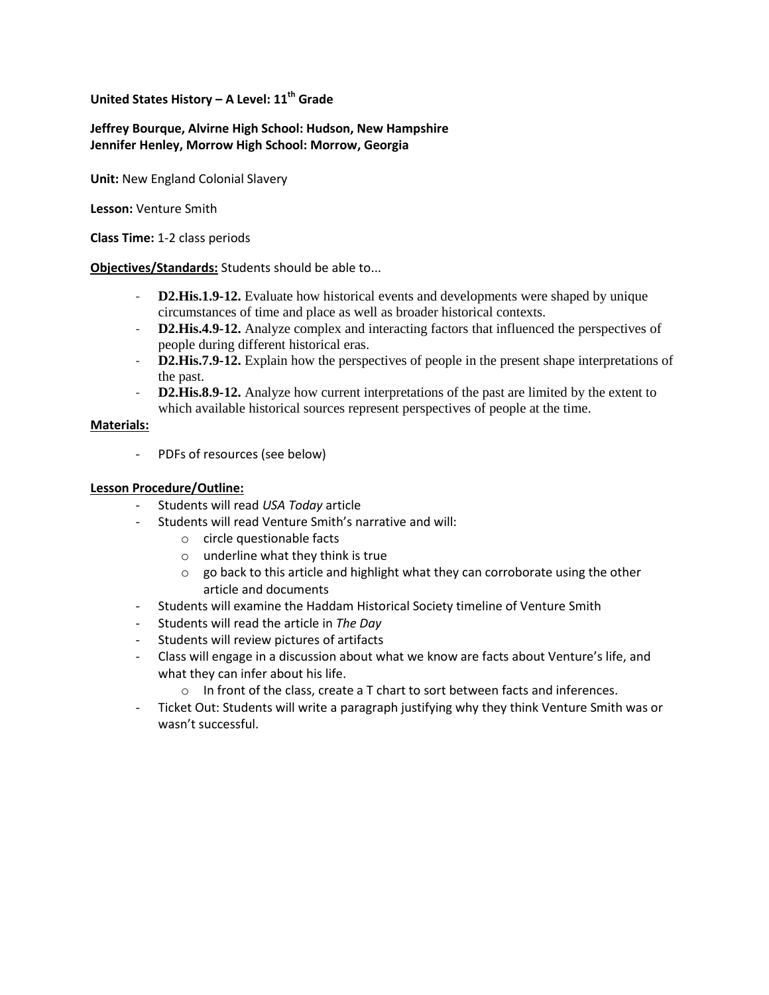**United States History – A Level: 11th Grade**

## **Jeffrey Bourque, Alvirne High School: Hudson, New Hampshire Jennifer Henley, Morrow High School: Morrow, Georgia**

**Unit:** New England Colonial Slavery

**Lesson:** Venture Smith

**Class Time:** 1-2 class periods

## **Objectives/Standards:** Students should be able to...

- **D2.His.1.9-12.** Evaluate how historical events and developments were shaped by unique circumstances of time and place as well as broader historical contexts.
- **D2.His.4.9-12.** Analyze complex and interacting factors that influenced the perspectives of people during different historical eras.
- **D2.His.7.9-12.** Explain how the perspectives of people in the present shape interpretations of the past.
- **D2.His.8.9-12.** Analyze how current interpretations of the past are limited by the extent to which available historical sources represent perspectives of people at the time.

## **Materials:**

- PDFs of resources (see below)

## **Lesson Procedure/Outline:**

- Students will read *USA Today* article
- Students will read Venture Smith's narrative and will:
	- o circle questionable facts
	- o underline what they think is true
	- o go back to this article and highlight what they can corroborate using the other article and documents
- Students will examine the Haddam Historical Society timeline of Venture Smith
- Students will read the article in *The Day*
- Students will review pictures of artifacts
- Class will engage in a discussion about what we know are facts about Venture's life, and what they can infer about his life.
	- o In front of the class, create a T chart to sort between facts and inferences.
- Ticket Out: Students will write a paragraph justifying why they think Venture Smith was or wasn't successful.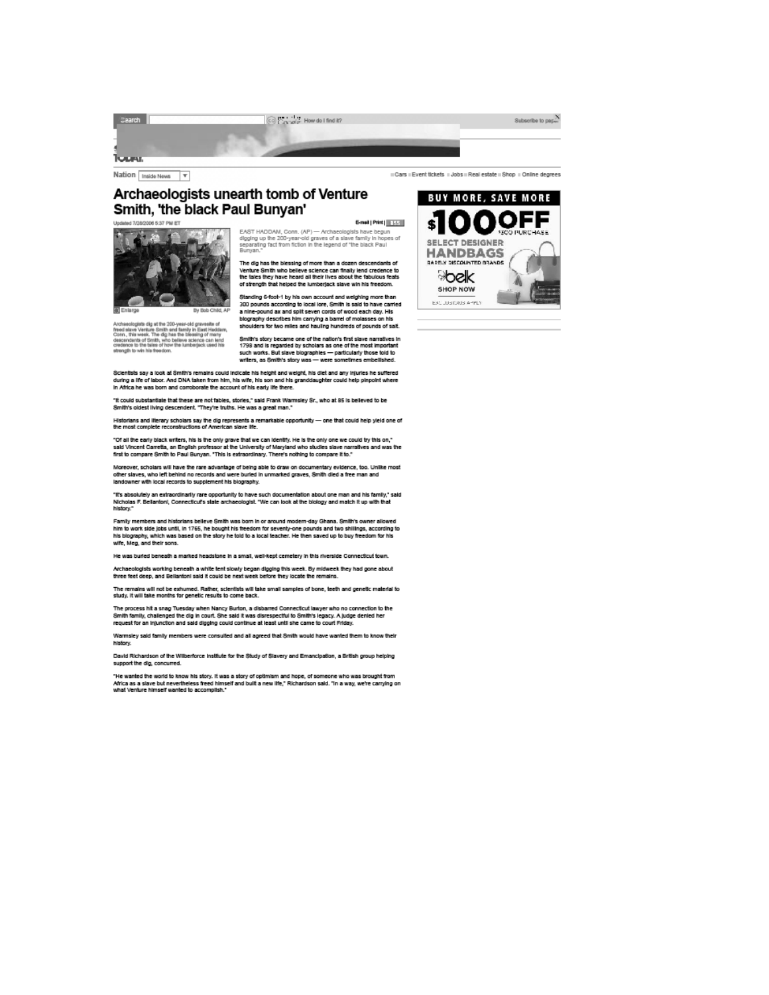| <b>Caarch</b> | (c) Conveie How do I find it? | Subscribe to paper |
|---------------|-------------------------------|--------------------|
|               |                               |                    |
| TOURL.        |                               |                    |

Nation | Inside News | v

Cars + Event tickets + Jobs + Real estate + Shop + Online degrees

# Archaeologists unearth tomb of Venture Smith, 'the black Paul Bunyan' **B-mail | Print | 1955 | E-mail Print (1944)**<br>digging up the 200-year-old graves of a slave family in hopes of<br>separating fact from fiction in the legend of "the black Paul<br>Burryan."<br>Burryan."



creasongerer org at the 200-year-old gravester or<br>edislave Venture Smith and family in East Haddam<br>rin., this week. The dig has the blessing of many<br>scendants of Smith, who believe science can lend<br>steph to win his freedom

biography describes him carrying a barrel of molasses on his shoulders for two miles and hauling hundreds of pounds of salt. Smith's story became one of the nation's first slave narratives in<br>1798 and is regarded by scholars as one of the most important<br>such works. But slave biographies — particularly those told to writers, as Smith's story was - were sometimes embellished

The dig has the blessing of more than a dozen descendants of Venture Smith who believe science can finally lend credence to<br>the tales they have heard all their lives about the fabulous feats

Standing 6-foot-1 by his own account and weighing more than

of strength that helped the lumberjack slave win his freedo

Statisting origin to your decount and weighing mot<br>300 pounds according to local lore, Smith is said to have<br>a nine-pound ax and split seven cords of wood each da

Scientists say a look at Smith's remains could indicate his helght and weight. his diet and any injuries he suffered summa life of labor. And DNA taken from him, his wife, his son and his granddaughter could help pinpoint where<br>In Africa he was born and corroborate the account of his early life there.

"It could substantiale that these are not fables, stories," said Frank Warmsley Sr., who at 85 is believed to be<br>Smith's oldest living descendent. "They're truths. He was a great man."

Historians and literary scholars say the dig represents a remarkable opportunity — one that could help yield one of<br>the most complete reconstructions of American slave life.

"Of all the early black writers, his is the only grave that we can identify. He is the only one we could try this on,"<br>said Vincent Carretta, an English professor at the University of Maryland who studies slave narratives

Moreover, scholars will have the rare advantage of being able to draw on documentary evidence, too. Unlike most<br>other slaves, who left behind no records and were buried in unmarked graves, Smith died a free man and<br>landown

"It's absolutely an extraordinarily rare opportunity to have such documentation about one man and his family," said<br>Nicholas F. Bellantoni, Connecticut's state archaeologist. "We can look at the biology and match it up wit

Family members and historians believe Smith was born in or around modern-day Ghana. Smith's owner allowed<br>him to work side jobs undi, in 1765, he bought his freedom for seventy-one pounds and two shillings, according to<br>hi wife, Meg, and their sons.

He was buried beneath a marked headstone in a small, well-kept cemetery in this riverside Connecticut town.

Archaeologists working beneath a white tent slowly began digging this week. By midweek they had gone about three feet deep, and Bellantoni said it could be next week before they locate the remains

The remains will not be exhumed. Rather, scientists will take small samples of bone, teeth and genetic material to<br>study. It will take months for genetic results to come back.

The process hit a snag Tuesday when Nancy Burlon, a disbarred Connecticut lawyer who no connection to the Smith family, challenged the dig in court. She said it was disrespectful to Smith's legacy. A judge denied her<br>request for an injunction and said digging could continue at least until she came to court Friday.

Warmsley said family members were consulted and all agreed that Smith would have wanted them to know their<br>history.

David Richardson of the Wilberforce Institute for the Study of Slavery and Emancipation, a British group helping support the dig, concu

"He wanted the world to know his story. It was a story of optimism and hope, of someone who was brought from<br>Africa as a slave but nevertheless freed himself and built a new life," Richardson said. "In a way, we're carryin

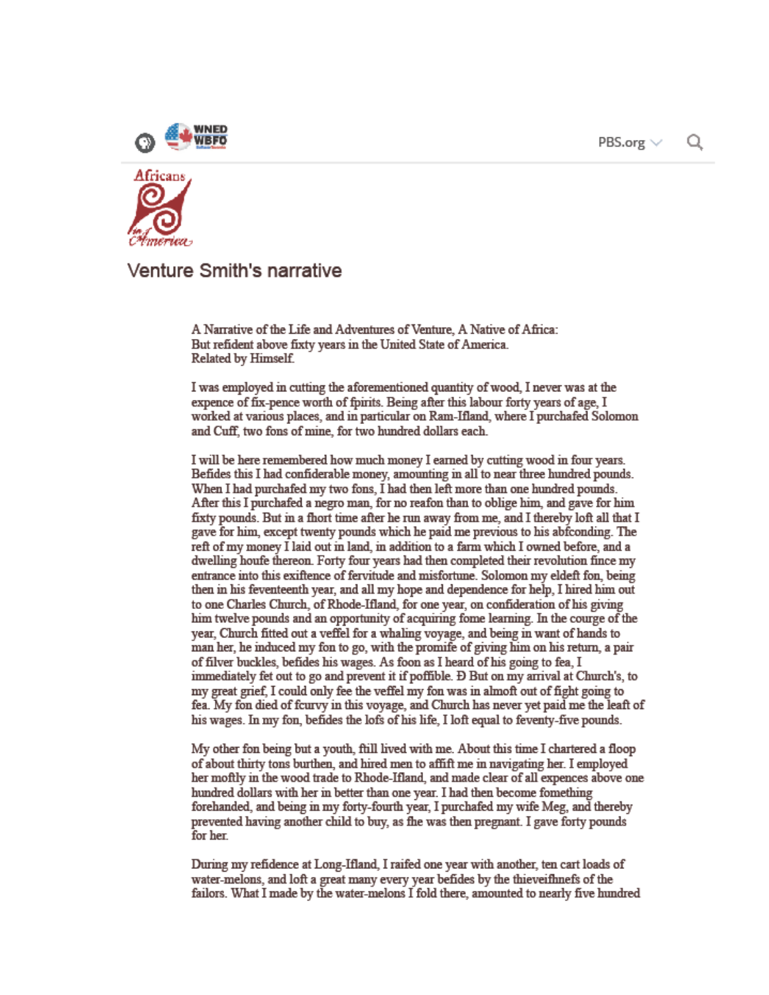PBS.org  $\vee$ Q





# **Venture Smith's narrative**

A Narrative of the Life and Adventures of Venture, A Native of Africa: But refident above fixty years in the United State of America. Related by Himself.

I was employed in cutting the aforementioned quantity of wood, I never was at the expence of fix-pence worth of fpirits. Being after this labour forty years of age, I worked at various places, and in particular on Ram-Ifland, where I purchafed Solomon and Cuff, two fons of mine, for two hundred dollars each.

I will be here remembered how much money I earned by cutting wood in four years. Befides this I had confiderable money, amounting in all to near three hundred pounds. When I had purchafed my two fons, I had then left more than one hundred pounds. After this I purchafed a negro man, for no reafon than to oblige him, and gave for him fixty pounds. But in a fhort time after he run away from me, and I thereby loft all that I gave for him, except twenty pounds which he paid me previous to his abfconding. The reft of my money I laid out in land, in addition to a farm which I owned before, and a dwelling houfe thereon. Forty four years had then completed their revolution fince my entrance into this exiftence of fervitude and misfortune. Solomon my eldeft fon, being then in his feventeenth year, and all my hope and dependence for help, I hired him out to one Charles Church, of Rhode-Ifland, for one year, on confideration of his giving him twelve pounds and an opportunity of acquiring fome learning. In the courge of the year, Church fitted out a veffel for a whaling voyage, and being in want of hands to man her, he induced my fon to go, with the promife of giving him on his return, a pair of filver buckles, befides his wages. As foon as I heard of his going to fea, I immediately fet out to go and prevent it if poffible. Đ But on my arrival at Church's, to my great grief, I could only fee the veffel my fon was in almoft out of fight going to fea. My fon died of fcurvy in this voyage, and Church has never yet paid me the leaft of his wages. In my fon, befides the lofs of his life, I loft equal to feventy-five pounds.

My other fon being but a youth, ftill lived with me. About this time I chartered a floop of about thirty tons burthen, and hired men to affift me in navigating her. I employed her moftly in the wood trade to Rhode-Ifland, and made clear of all expences above one hundred dollars with her in better than one year. I had then become fomething forehanded, and being in my forty-fourth year, I purchafed my wife Meg, and thereby prevented having another child to buy, as fhe was then pregnant. I gave forty pounds for her.

During my refidence at Long-Ifland, I raifed one year with another, ten cart loads of water-melons, and loft a great many every year befides by the thieveifhnefs of the failors. What I made by the water-melons I fold there, amounted to nearly five hundred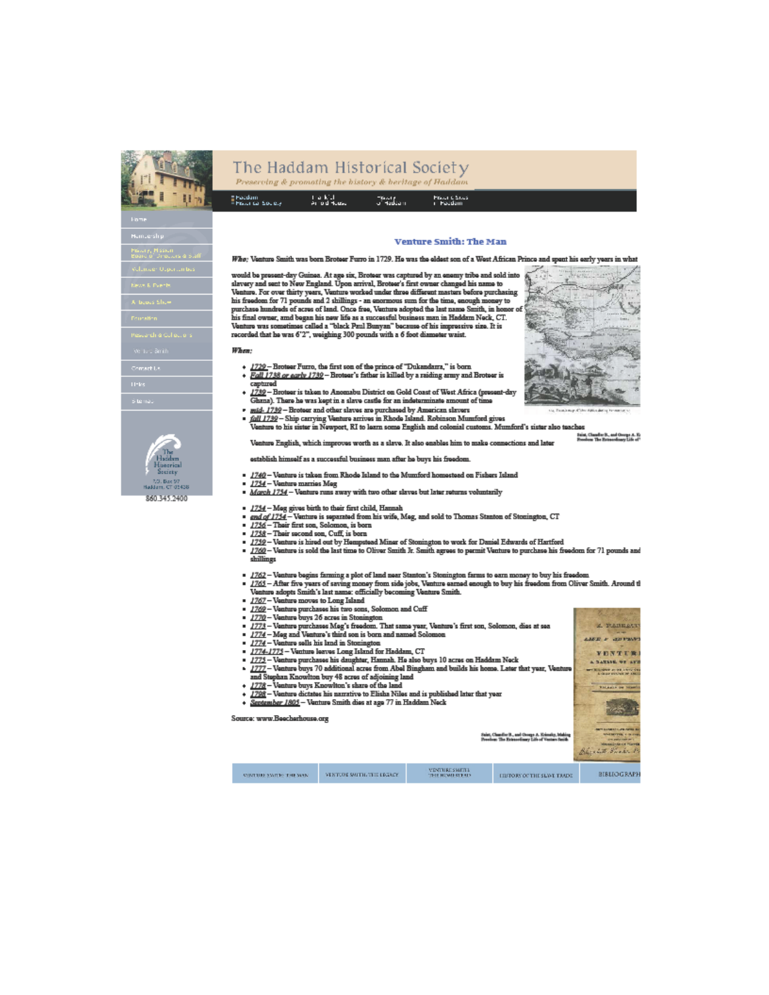

The<br>Indian

listorio<br>Society

7,0. Bax 97<br>Naddam, CT 05438 860.345.2400

Prisoner, Plassie<br>Board of Ding

### The Haddam Historical Society Preserving & promoting the history & heritage of Hadd

Pistor C Srtes<br>In Piaddaro i nankful<br>Arnold House trakany<br>Ulihaddami

#### **Venture Smith: The Man**

Who; Venture Smith was born Broteer Furro in 1729. He was the eldest son of a West African Prince and spent his early years in what

would be present-day Guinea. At age six, Broteer was captured by an enemy tribe and sold into slavery and sent to New England. Upon arrival, Broteer's first owner changed his name to Venture. For over thirty years, Venture nia num owner, must organize alled a "black Paul Bumyan" because of his impressive size. It is<br>recorded that he was 6'2", weighing 300 pounds with a 6 foot diameter waist.

#### When:

= Haddam<br>= Historical Society

- 
- + 1720 Brotser Furro, the first son of the prince of "Dukandama," is born  $\rightarrow$   $\frac{Fall}{1738}$  or early 1739 Brotser's father is killed by a raiding army and Brotser is aptured
- captured<br> $+$   $\frac{1730}{2}$  Brotesar is taken to Anomabu District on Gold Coast of West Africa (present-day<br>Ghana). There he was kept in a slave castle for an indeterminate amount of time
- 
- $\begin{array}{ll} \hbox{\tt \bf mid-1739--} \end{array}$  <br> and the carrying Venture arrives in Rhode Island. Robinson Mumford gives<br> Venture to his sister in Newport, RI to learn some English and colonial customs. Mumford's sister also teacher<br> Ven

Venture English, which improves worth as a slave. It also enables him to make connections and later

establish himself as a successful business man after he buys his freedom.

- $=$   $1740$  Venture is taken from Rhode Island to the Mumford homestead on Fishers Island
- 1734 Venture marries Meg<br>- March 1734 Venture marries Meg<br>- March 1734 Venture runs away with two other slaves but later returns voluntarily
- 
- 
- 1754 Meg gives birth to their first child, Hannah<br>- <u>end of 1754</u> Venture is separated from his wife, Meg, and sold to Thomas Stanton of Stonington, CT<br>- 1756 Their first son, Solomon, is born
- 
- 
- <u>1758</u> Town mass sour, Soundars, as social<br>■ <u>1758</u> Their mocend son, Cuff, is born<br>■ <u>1759</u> Venture is kired out by Hempstead Miner of Stonington to work for Daniel Edwards of Hartford<br>■ <u>1760</u> Venture is sold t skilli
	-
- 1762 Venture begins farming a plot of land near Stanton's Stonington farms to earn money to buy his freedom<br>- 1763 After five years of saving money from side jobs, Venture earned enough to buy his freedom from Olive
- 
- 
- 
- 
- $\begin{array}{lll} \textbf{P} & \textbf{2722} \textbf{V} \textbf{a} \textbf{a} \textbf{b} \textbf{b} \textbf{c} \textbf{b} \textbf{c} \textbf{b} \textbf{c} \textbf{c} \textbf{b} \textbf{c} \textbf{c} \textbf{c} \textbf{c} \textbf{c} \textbf{c} \textbf{c} \textbf{c} \textbf{c} \textbf{c} \textbf{c} \textbf{c} \textbf{c} \textbf{c} \textbf{c} \textbf{c} \textbf{c} \textbf{c} \textbf{c} \textbf{c} \textbf$
- 
- 
- =  $\frac{1774}{2724}$ -Nog and Venture s tanta is four and namea Solomon<br>=  $\frac{1774}{2724}$ -Venture sells his land in Stonington<br>=  $\frac{1774}{2724}$ -J773 Venture leaves Long Island for Haddam, CT<br>=  $\frac{1775}{2722}$ -Venture purch A DATENE, MY AVO and Stephan Knowlton buy 48 acres of adjoining land<br>
2778 - Venture buys Knowlton's share of the land
- 
- $\frac{1798}{1798}$  Venture dictates his narrative to Elisha Niles and is published later that year September 1802 Venture Smith dies at age 77 in Haddam Neck
- 

Source: www.Beecherhouse.org

Saint, Chandler B., and George A. Krimsky, Making<br>President The Retracelisery Life of Venture Saids

 $\text{IIBTOEN OF THE SLW1 TMD2}$ 

VENTURE ENTIRE THE NAN  $\sim$  vertices section in the case of

VENTURE SWETH



Saint, Chamlier B., and Groups A. K.<br>Steedom: The Ratmardinary Life of

A FLANKAST

**RECARDS ON THOMAS** 

Blicatett Blacker P.

**BIBLIOGRAPH** 

**LIFE & GUYSSY VENTUR**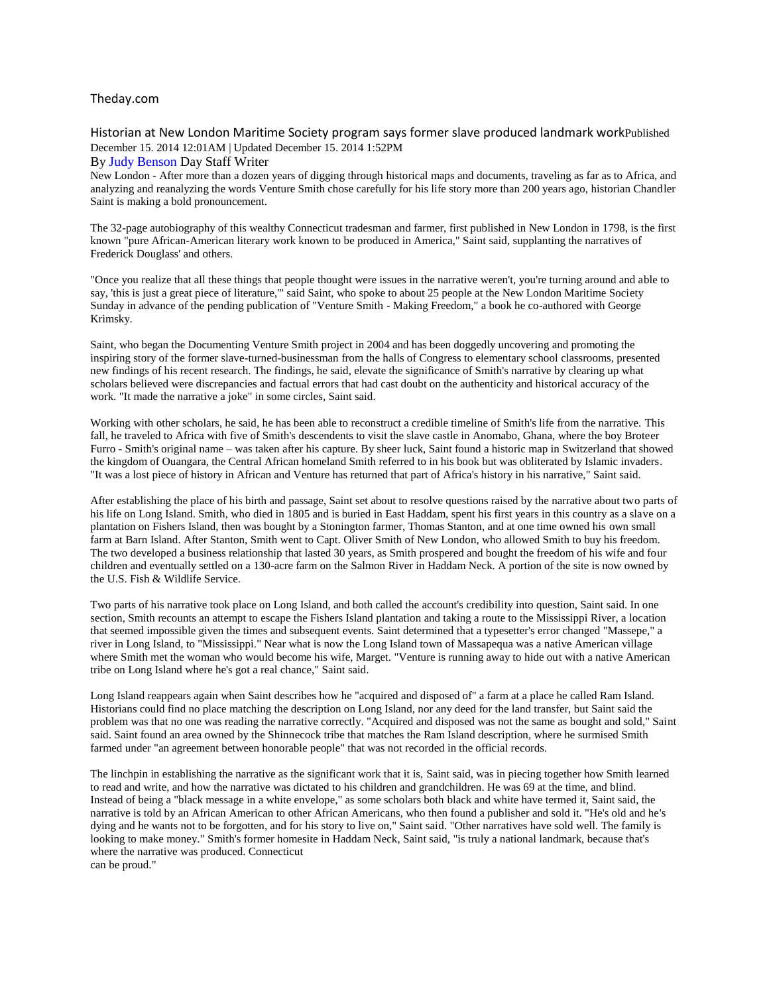#### Theday.com

## Historian at New London Maritime Society program says former slave produced landmark workPublished December 15. 2014 12:01AM | Updated December 15. 2014 1:52PM

By Judy Benson Day Staff Writer

New London - After more than a dozen years of digging through historical maps and documents, traveling as far as to Africa, and analyzing and reanalyzing the words Venture Smith chose carefully for his life story more than 200 years ago, historian Chandler Saint is making a bold pronouncement.

The 32-page autobiography of this wealthy Connecticut tradesman and farmer, first published in New London in 1798, is the first known "pure African-American literary work known to be produced in America," Saint said, supplanting the narratives of Frederick Douglass' and others.

"Once you realize that all these things that people thought were issues in the narrative weren't, you're turning around and able to say, 'this is just a great piece of literature,'" said Saint, who spoke to about 25 people at the New London Maritime Society Sunday in advance of the pending publication of "Venture Smith - Making Freedom," a book he co-authored with George Krimsky.

Saint, who began the Documenting Venture Smith project in 2004 and has been doggedly uncovering and promoting the inspiring story of the former slave-turned-businessman from the halls of Congress to elementary school classrooms, presented new findings of his recent research. The findings, he said, elevate the significance of Smith's narrative by clearing up what scholars believed were discrepancies and factual errors that had cast doubt on the authenticity and historical accuracy of the work. "It made the narrative a joke" in some circles, Saint said.

Working with other scholars, he said, he has been able to reconstruct a credible timeline of Smith's life from the narrative. This fall, he traveled to Africa with five of Smith's descendents to visit the slave castle in Anomabo, Ghana, where the boy Broteer Furro - Smith's original name – was taken after his capture. By sheer luck, Saint found a historic map in Switzerland that showed the kingdom of Ouangara, the Central African homeland Smith referred to in his book but was obliterated by Islamic invaders. "It was a lost piece of history in African and Venture has returned that part of Africa's history in his narrative," Saint said.

After establishing the place of his birth and passage, Saint set about to resolve questions raised by the narrative about two parts of his life on Long Island. Smith, who died in 1805 and is buried in East Haddam, spent his first years in this country as a slave on a plantation on Fishers Island, then was bought by a Stonington farmer, Thomas Stanton, and at one time owned his own small farm at Barn Island. After Stanton, Smith went to Capt. Oliver Smith of New London, who allowed Smith to buy his freedom. The two developed a business relationship that lasted 30 years, as Smith prospered and bought the freedom of his wife and four children and eventually settled on a 130-acre farm on the Salmon River in Haddam Neck. A portion of the site is now owned by the U.S. Fish & Wildlife Service.

Two parts of his narrative took place on Long Island, and both called the account's credibility into question, Saint said. In one section, Smith recounts an attempt to escape the Fishers Island plantation and taking a route to the Mississippi River, a location that seemed impossible given the times and subsequent events. Saint determined that a typesetter's error changed "Massepe," a river in Long Island, to "Mississippi." Near what is now the Long Island town of Massapequa was a native American village where Smith met the woman who would become his wife, Marget. "Venture is running away to hide out with a native American tribe on Long Island where he's got a real chance," Saint said.

Long Island reappears again when Saint describes how he "acquired and disposed of" a farm at a place he called Ram Island. Historians could find no place matching the description on Long Island, nor any deed for the land transfer, but Saint said the problem was that no one was reading the narrative correctly. "Acquired and disposed was not the same as bought and sold," Saint said. Saint found an area owned by the Shinnecock tribe that matches the Ram Island description, where he surmised Smith farmed under "an agreement between honorable people" that was not recorded in the official records.

The linchpin in establishing the narrative as the significant work that it is, Saint said, was in piecing together how Smith learned to read and write, and how the narrative was dictated to his children and grandchildren. He was 69 at the time, and blind. Instead of being a "black message in a white envelope," as some scholars both black and white have termed it, Saint said, the narrative is told by an African American to other African Americans, who then found a publisher and sold it. "He's old and he's dying and he wants not to be forgotten, and for his story to live on," Saint said. "Other narratives have sold well. The family is looking to make money." Smith's former homesite in Haddam Neck, Saint said, "is truly a national landmark, because that's where the narrative was produced. Connecticut can be proud."